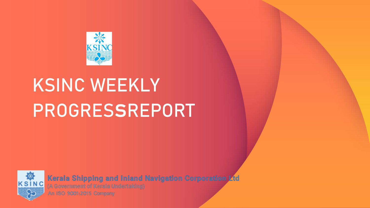

## **KSINC WEEKLY PROGRESsREPORT**



Kerala Shipping and Inland Navigation Corporation Ltd

(A Government of Kerala Undertaking)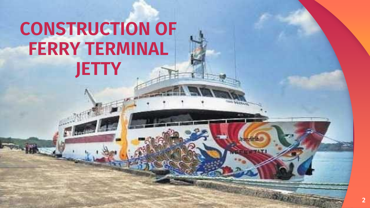### **CONSTRUCTION OF FERRY TERMINAL JETTY**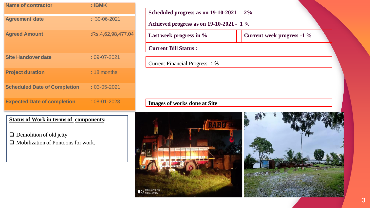| <b>Name of contractor</b>           | $:$ IBMK           |
|-------------------------------------|--------------------|
| <b>Agreement date</b>               | $: 30 - 06 - 2021$ |
| <b>Agreed Amount</b>                | :Rs.4,62,98,477.04 |
| <b>Site Handover date</b>           | $:09-07-2021$      |
| <b>Project duration</b>             | $: 18$ months      |
| <b>Scheduled Date of Completion</b> | $: 03 - 05 - 2021$ |
| <b>Expected Date of completion</b>  | $:08-01-2023$      |

| Achieved progress as on 19-10-2021 - 1 % |                            |  |
|------------------------------------------|----------------------------|--|
| Last week progress in %                  | Current week progress -1 % |  |
|                                          |                            |  |
| <b>Current Bill Status:</b>              |                            |  |
| Current Financial Progress : %           |                            |  |
|                                          |                            |  |

#### **Status of Work in terms of components:**

❑ Demolition of old jetty

❑ Mobilization of Pontoons for work.

# BARU **O CALDUAL CAMERA**

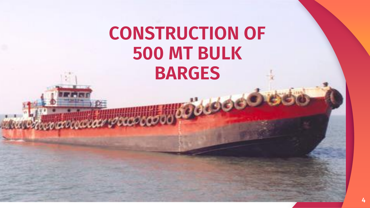### **CONSTRUCTION OF 500 MT BULK BARGES**

where do do the deal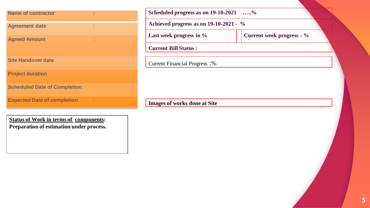| <b>Name of contractor</b>           |  |
|-------------------------------------|--|
| <b>Agreement date</b>               |  |
| <b>Agreed Amount</b>                |  |
| <b>Site Handover date</b>           |  |
| <b>Project duration</b>             |  |
| <b>Scheduled Date of Completion</b> |  |
| <b>Expected Date of completion</b>  |  |

| Achieved progress as on 19-10-2021 - % |                           |  |
|----------------------------------------|---------------------------|--|
| Last week progress in $\%$             | Current week progress - % |  |
| <b>Current Bill Status:</b>            |                           |  |
| <b>Current Financial Progress:</b> %   |                           |  |
|                                        |                           |  |

**Status of Work in terms of components: Preparation of estimation under process.**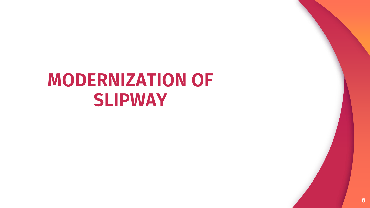### **MODERNIZATION OF SLIPWAY**